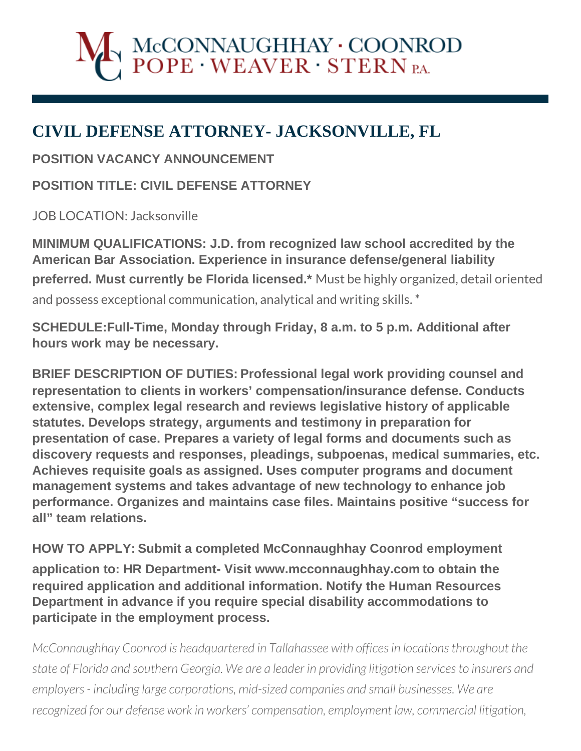## $\operatorname{McCONNAUGHHAY}\cdot \operatorname{COONROD} \operatorname{POPE}\cdot \operatorname{WEAVER}\cdot \operatorname{STERN}\nolimits_{\text{PA}}$

## **CIVIL DEFENSE ATTORNEY- JACKSONVILLE, FL**

**POSITION VACANCY ANNOUNCEMENT**

**POSITION TITLE: CIVIL DEFENSE ATTORNEY**

JOB LOCATION: Jacksonville

**MINIMUM QUALIFICATIONS: J.D. from recognized law school accredited by the American Bar Association. Experience in insurance defense/general liability preferred. Must currently be Florida licensed.\*** Must be highly organized, detail oriented and possess exceptional communication, analytical and writing skills. \*

**SCHEDULE:Full-Time, Monday through Friday, 8 a.m. to 5 p.m. Additional after hours work may be necessary.**

**BRIEF DESCRIPTION OF DUTIES: Professional legal work providing counsel and representation to clients in workers' compensation/insurance defense. Conducts extensive, complex legal research and reviews legislative history of applicable statutes. Develops strategy, arguments and testimony in preparation for presentation of case. Prepares a variety of legal forms and documents such as discovery requests and responses, pleadings, subpoenas, medical summaries, etc. Achieves requisite goals as assigned. Uses computer programs and document management systems and takes advantage of new technology to enhance job performance. Organizes and maintains case files. Maintains positive "success for all" team relations.** 

**HOW TO APPLY: Submit a completed McConnaughhay Coonrod employment application to: HR Department- Visit www.mcconnaughhay.com to obtain the required application and additional information. Notify the Human Resources Department in advance if you require special disability accommodations to participate in the employment process.** 

*McConnaughhay Coonrod is headquartered in Tallahassee with offices in locations throughout the state of Florida and southern Georgia. We are a leader in providing litigation services to insurers and employers - including large corporations, mid-sized companies and small businesses. We are recognized for our defense work in workers' compensation, employment law, commercial litigation,*